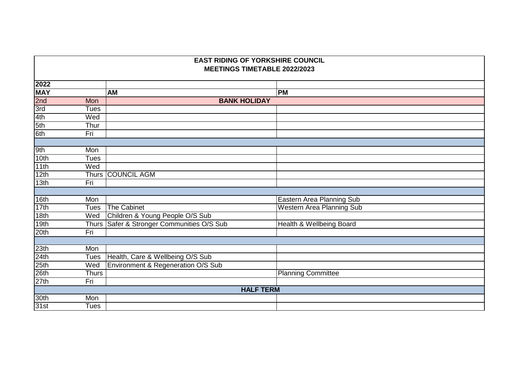| <b>EAST RIDING OF YORKSHIRE COUNCIL</b><br><b>MEETINGS TIMETABLE 2022/2023</b> |             |                                            |                                  |  |  |
|--------------------------------------------------------------------------------|-------------|--------------------------------------------|----------------------------------|--|--|
| 2022                                                                           |             |                                            |                                  |  |  |
| <b>MAY</b>                                                                     |             | <b>AM</b>                                  | <b>PM</b>                        |  |  |
| 2nd                                                                            | <b>Mon</b>  | <b>BANK HOLIDAY</b>                        |                                  |  |  |
| $\frac{3rd}{3rd}$ $\frac{4th}{5th}$ $\frac{5th}{6th}$                          | <b>Tues</b> |                                            |                                  |  |  |
|                                                                                | Wed         |                                            |                                  |  |  |
|                                                                                | Thur        |                                            |                                  |  |  |
|                                                                                | Fri         |                                            |                                  |  |  |
|                                                                                |             |                                            |                                  |  |  |
| $\frac{9th}{10th}$                                                             | Mon         |                                            |                                  |  |  |
|                                                                                | <b>Tues</b> |                                            |                                  |  |  |
| 11th                                                                           | Wed         |                                            |                                  |  |  |
| 12th                                                                           |             | Thurs COUNCIL AGM                          |                                  |  |  |
| 13 <sub>th</sub>                                                               | Fri         |                                            |                                  |  |  |
|                                                                                |             |                                            |                                  |  |  |
| 16th                                                                           | Mon         |                                            | Eastern Area Planning Sub        |  |  |
| 17th                                                                           | <b>Tues</b> | <b>The Cabinet</b>                         | <b>Western Area Planning Sub</b> |  |  |
| 18th                                                                           | Wed         | Children & Young People O/S Sub            |                                  |  |  |
| 19th                                                                           |             | Thurs Safer & Stronger Communities O/S Sub | Health & Wellbeing Board         |  |  |
| 20th                                                                           | Fri         |                                            |                                  |  |  |
|                                                                                |             |                                            |                                  |  |  |
| $\frac{23th}{24th}$                                                            | Mon         |                                            |                                  |  |  |
|                                                                                | <b>Tues</b> | Health, Care & Wellbeing O/S Sub           |                                  |  |  |
| $\frac{25th}{26th}$                                                            | Wed         | Environment & Regeneration O/S Sub         |                                  |  |  |
|                                                                                | Thurs       |                                            | <b>Planning Committee</b>        |  |  |
| 27th                                                                           | Fri         |                                            |                                  |  |  |
|                                                                                |             |                                            | <b>HALF TERM</b>                 |  |  |
| 30 <sub>th</sub>                                                               | Mon         |                                            |                                  |  |  |
| 31st                                                                           | <b>Tues</b> |                                            |                                  |  |  |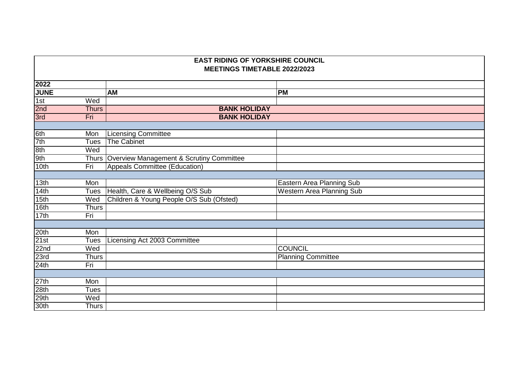| <b>EAST RIDING OF YORKSHIRE COUNCIL</b><br><b>MEETINGS TIMETABLE 2022/2023</b> |              |                                                |                                  |  |
|--------------------------------------------------------------------------------|--------------|------------------------------------------------|----------------------------------|--|
| 2022                                                                           |              |                                                |                                  |  |
| <b>JUNE</b>                                                                    |              | <b>AM</b>                                      | <b>PM</b>                        |  |
| 1st                                                                            | Wed          |                                                |                                  |  |
| $\frac{2nd}{3rd}$                                                              | <b>Thurs</b> | <b>BANK HOLIDAY</b>                            |                                  |  |
|                                                                                | Fri          | <b>BANK HOLIDAY</b>                            |                                  |  |
|                                                                                |              |                                                |                                  |  |
| 6th                                                                            | Mon          | <b>Licensing Committee</b>                     |                                  |  |
| 7th                                                                            | <b>Tues</b>  | <b>The Cabinet</b>                             |                                  |  |
| 8th                                                                            | Wed          |                                                |                                  |  |
| 9th                                                                            |              | Thurs Overview Management & Scrutiny Committee |                                  |  |
| 10th                                                                           | Fri          | <b>Appeals Committee (Education)</b>           |                                  |  |
|                                                                                |              |                                                |                                  |  |
| 13 <sub>th</sub>                                                               | Mon          |                                                | Eastern Area Planning Sub        |  |
| 14th                                                                           | <b>Tues</b>  | Health, Care & Wellbeing O/S Sub               | <b>Western Area Planning Sub</b> |  |
| 15 <sub>th</sub>                                                               | Wed          | Children & Young People O/S Sub (Ofsted)       |                                  |  |
| 16th                                                                           | <b>Thurs</b> |                                                |                                  |  |
| 17th                                                                           | Fri          |                                                |                                  |  |
|                                                                                |              |                                                |                                  |  |
| 20th                                                                           | Mon          |                                                |                                  |  |
| 21st                                                                           | <b>Tues</b>  | Licensing Act 2003 Committee                   |                                  |  |
| 22nd                                                                           | Wed          |                                                | <b>COUNCIL</b>                   |  |
| 23rd                                                                           | <b>Thurs</b> |                                                | <b>Planning Committee</b>        |  |
| 24th                                                                           | Fri          |                                                |                                  |  |
|                                                                                |              |                                                |                                  |  |
| 27th                                                                           | Mon          |                                                |                                  |  |
| 28th                                                                           | <b>Tues</b>  |                                                |                                  |  |
| 29th                                                                           | Wed          |                                                |                                  |  |
| 30th                                                                           | <b>Thurs</b> |                                                |                                  |  |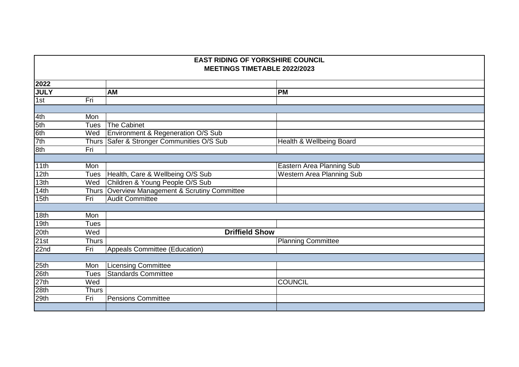|                     | <b>EAST RIDING OF YORKSHIRE COUNCIL</b><br><b>MEETINGS TIMETABLE 2022/2023</b> |                                                |                                  |  |  |
|---------------------|--------------------------------------------------------------------------------|------------------------------------------------|----------------------------------|--|--|
| 2022                |                                                                                |                                                |                                  |  |  |
| <b>JULY</b>         |                                                                                | <b>AM</b>                                      | <b>PM</b>                        |  |  |
| 1st                 | Fri                                                                            |                                                |                                  |  |  |
|                     |                                                                                |                                                |                                  |  |  |
| 4th                 | Mon                                                                            |                                                |                                  |  |  |
| $rac{5th}{6th}$     | <b>Tues</b>                                                                    | <b>The Cabinet</b>                             |                                  |  |  |
|                     | Wed                                                                            | Environment & Regeneration O/S Sub             |                                  |  |  |
| 7th                 |                                                                                | Thurs Safer & Stronger Communities O/S Sub     | Health & Wellbeing Board         |  |  |
| 8th                 | Fri                                                                            |                                                |                                  |  |  |
|                     |                                                                                |                                                |                                  |  |  |
| 11th                | Mon                                                                            |                                                | Eastern Area Planning Sub        |  |  |
| 12th                | <b>Tues</b>                                                                    | Health, Care & Wellbeing O/S Sub               | <b>Western Area Planning Sub</b> |  |  |
| 13 <sub>th</sub>    | Wed                                                                            | Children & Young People O/S Sub                |                                  |  |  |
| 14th                |                                                                                | Thurs Overview Management & Scrutiny Committee |                                  |  |  |
| 15th                | Fri                                                                            | <b>Audit Committee</b>                         |                                  |  |  |
|                     |                                                                                |                                                |                                  |  |  |
| 18th                | Mon                                                                            |                                                |                                  |  |  |
| 19th                | <b>Tues</b>                                                                    |                                                |                                  |  |  |
| 20th                | Wed                                                                            | <b>Driffield Show</b>                          |                                  |  |  |
| 21st                | <b>Thurs</b>                                                                   |                                                | <b>Planning Committee</b>        |  |  |
| 22n <sub>d</sub>    | Fri                                                                            | Appeals Committee (Education)                  |                                  |  |  |
|                     |                                                                                |                                                |                                  |  |  |
|                     | Mon                                                                            | <b>Licensing Committee</b>                     |                                  |  |  |
| $\frac{25th}{26th}$ | <b>Tues</b>                                                                    | <b>Standards Committee</b>                     |                                  |  |  |
| 27th                | Wed                                                                            |                                                | <b>COUNCIL</b>                   |  |  |
| 28th                | <b>Thurs</b>                                                                   |                                                |                                  |  |  |
| 29th                | Fri                                                                            | <b>Pensions Committee</b>                      |                                  |  |  |
|                     |                                                                                |                                                |                                  |  |  |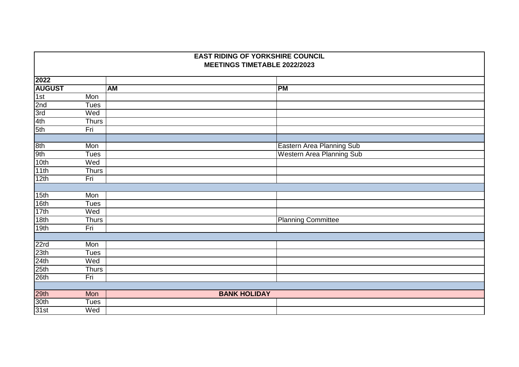|                     | <b>EAST RIDING OF YORKSHIRE COUNCIL</b> |           |                     |                           |  |  |
|---------------------|-----------------------------------------|-----------|---------------------|---------------------------|--|--|
|                     | MEETINGS TIMETABLE 2022/2023            |           |                     |                           |  |  |
| 2022                |                                         |           |                     |                           |  |  |
| <b>AUGUST</b>       |                                         | <b>AM</b> |                     | <b>PM</b>                 |  |  |
| 1st                 | Mon                                     |           |                     |                           |  |  |
| 2nd                 | <b>Tues</b>                             |           |                     |                           |  |  |
| $rac{3rd}{4th}$     | Wed                                     |           |                     |                           |  |  |
|                     | <b>Thurs</b>                            |           |                     |                           |  |  |
| 5th                 | Fri                                     |           |                     |                           |  |  |
|                     |                                         |           |                     |                           |  |  |
| 8th                 | Mon                                     |           |                     | Eastern Area Planning Sub |  |  |
| 9th                 | <b>Tues</b>                             |           |                     | Western Area Planning Sub |  |  |
| 10th                | Wed                                     |           |                     |                           |  |  |
| 11th                | Thurs                                   |           |                     |                           |  |  |
| 12th                | Fri                                     |           |                     |                           |  |  |
|                     |                                         |           |                     |                           |  |  |
| 15 <sub>th</sub>    | Mon                                     |           |                     |                           |  |  |
| 16th                | <b>Tues</b>                             |           |                     |                           |  |  |
| 17th                | Wed                                     |           |                     |                           |  |  |
| 18th                | <b>Thurs</b>                            |           |                     | <b>Planning Committee</b> |  |  |
| 19th                | Fri                                     |           |                     |                           |  |  |
|                     |                                         |           |                     |                           |  |  |
| 22rd                | Mon                                     |           |                     |                           |  |  |
| 23th                | <b>Tues</b>                             |           |                     |                           |  |  |
| $\frac{24th}{25th}$ | Wed                                     |           |                     |                           |  |  |
|                     | Thurs                                   |           |                     |                           |  |  |
| 26th                | Fri                                     |           |                     |                           |  |  |
|                     |                                         |           |                     |                           |  |  |
| 29th                | Mon                                     |           | <b>BANK HOLIDAY</b> |                           |  |  |
| 30 <sub>th</sub>    | <b>Tues</b>                             |           |                     |                           |  |  |
| 31st                | Wed                                     |           |                     |                           |  |  |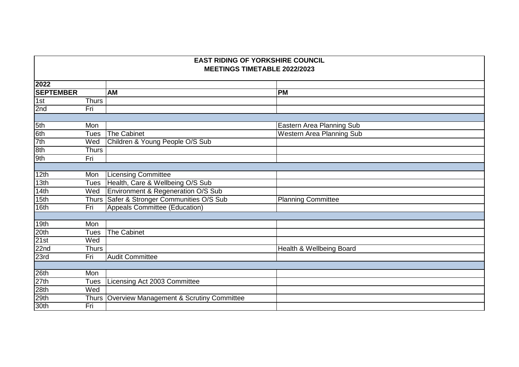| 2022             |              |                                                |                                  |
|------------------|--------------|------------------------------------------------|----------------------------------|
| <b>SEPTEMBER</b> |              | <b>AM</b>                                      | <b>PM</b>                        |
| 1st              | <b>Thurs</b> |                                                |                                  |
| 2nd              | Fri          |                                                |                                  |
|                  |              |                                                |                                  |
| 5th              | Mon          |                                                | Eastern Area Planning Sub        |
| 6th              | <b>Tues</b>  | The Cabinet                                    | <b>Western Area Planning Sub</b> |
| 7th              | Wed          | Children & Young People O/S Sub                |                                  |
| 8th              | Thurs        |                                                |                                  |
| 9th              | Fri          |                                                |                                  |
|                  |              |                                                |                                  |
| 12th             | Mon          | Licensing Committee                            |                                  |
| 13 <sub>th</sub> | <b>Tues</b>  | Health, Care & Wellbeing O/S Sub               |                                  |
| 14th             | Wed          | Environment & Regeneration O/S Sub             |                                  |
| 15th             |              | Thurs Safer & Stronger Communities O/S Sub     | <b>Planning Committee</b>        |
| 16th             | Fri          | Appeals Committee (Education)                  |                                  |
|                  |              |                                                |                                  |
| 19th             | Mon          |                                                |                                  |
| 20th             | <b>Tues</b>  | <b>The Cabinet</b>                             |                                  |
| 21st             | Wed          |                                                |                                  |
| 22 <sub>nd</sub> | <b>Thurs</b> |                                                | Health & Wellbeing Board         |
| 23rd             | Fri          | <b>Audit Committee</b>                         |                                  |
|                  |              |                                                |                                  |
| 26th             | Mon          |                                                |                                  |
| 27th             | <b>Tues</b>  | Licensing Act 2003 Committee                   |                                  |
| 28th             | Wed          |                                                |                                  |
| 29th             |              | Thurs Overview Management & Scrutiny Committee |                                  |
| 30th             | Fri          |                                                |                                  |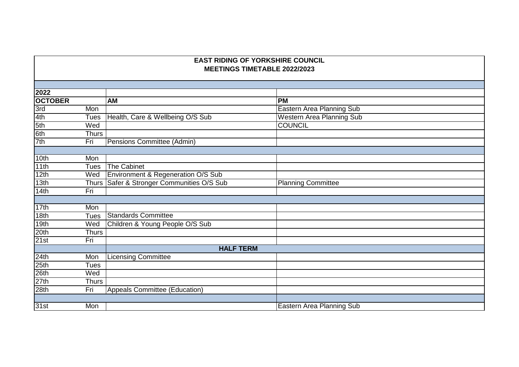| 2022             |              |                                            |                                  |
|------------------|--------------|--------------------------------------------|----------------------------------|
| <b>OCTOBER</b>   |              | <b>AM</b>                                  | <b>PM</b>                        |
| 3rd              | Mon          |                                            | Eastern Area Planning Sub        |
| 4th              | Tues         | Health, Care & Wellbeing O/S Sub           | <b>Western Area Planning Sub</b> |
| 5th              | Wed          |                                            | <b>COUNCIL</b>                   |
| 6th              | Thurs        |                                            |                                  |
| 7th              | Fri          | Pensions Committee (Admin)                 |                                  |
|                  |              |                                            |                                  |
| 10th             | Mon          |                                            |                                  |
| 11th             | Tues         | The Cabinet                                |                                  |
| 12th             | Wed          | Environment & Regeneration O/S Sub         |                                  |
| 13th             |              | Thurs Safer & Stronger Communities O/S Sub | <b>Planning Committee</b>        |
| 14th             | Fri          |                                            |                                  |
|                  |              |                                            |                                  |
| 17th             | Mon          |                                            |                                  |
| 18 <sub>th</sub> | <b>Tues</b>  | Standards Committee                        |                                  |
| 19th             | Wed          | Children & Young People O/S Sub            |                                  |
| 20th             | <b>Thurs</b> |                                            |                                  |
| 21st             | Fri          |                                            |                                  |
|                  |              | <b>HALF TERM</b>                           |                                  |
| 24th             | Mon          | <b>Licensing Committee</b>                 |                                  |
| 25th             | Tues         |                                            |                                  |
| 26th             | Wed          |                                            |                                  |
| 27th             | Thurs        |                                            |                                  |
| 28th             | Fri          | <b>Appeals Committee (Education)</b>       |                                  |
|                  |              |                                            |                                  |
| 31st             | Mon          |                                            | <b>Eastern Area Planning Sub</b> |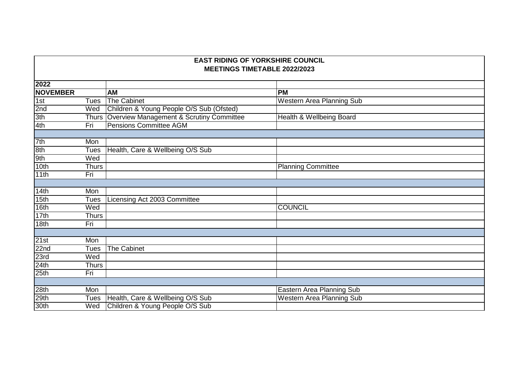|                  | <b>EAST RIDING OF YORKSHIRE COUNCIL</b><br><b>MEETINGS TIMETABLE 2022/2023</b> |                                                |                                  |  |  |
|------------------|--------------------------------------------------------------------------------|------------------------------------------------|----------------------------------|--|--|
| 2022             |                                                                                |                                                |                                  |  |  |
| <b>NOVEMBER</b>  |                                                                                | <b>AM</b>                                      | <b>PM</b>                        |  |  |
| 1st              | <b>Tues</b>                                                                    | The Cabinet                                    | <b>Western Area Planning Sub</b> |  |  |
| 2nd              | Wed                                                                            | Children & Young People O/S Sub (Ofsted)       |                                  |  |  |
| 3th              |                                                                                | Thurs Overview Management & Scrutiny Committee | Health & Wellbeing Board         |  |  |
| 4th              | Fri                                                                            | <b>Pensions Committee AGM</b>                  |                                  |  |  |
|                  |                                                                                |                                                |                                  |  |  |
| 7th              | Mon                                                                            |                                                |                                  |  |  |
| 8th              | <b>Tues</b>                                                                    | Health, Care & Wellbeing O/S Sub               |                                  |  |  |
| 9th              | Wed                                                                            |                                                |                                  |  |  |
| 10th             | Thurs                                                                          |                                                | <b>Planning Committee</b>        |  |  |
| 11th             | Fri                                                                            |                                                |                                  |  |  |
|                  |                                                                                |                                                |                                  |  |  |
| 14th             | Mon                                                                            |                                                |                                  |  |  |
| 15 <sub>th</sub> | <b>Tues</b>                                                                    | Licensing Act 2003 Committee                   |                                  |  |  |
| 16th             | Wed                                                                            |                                                | <b>COUNCIL</b>                   |  |  |
| 17th             | <b>Thurs</b>                                                                   |                                                |                                  |  |  |
| 18th             | Fri                                                                            |                                                |                                  |  |  |
|                  |                                                                                |                                                |                                  |  |  |
| 21st             | Mon                                                                            |                                                |                                  |  |  |
| 22 <sub>nd</sub> | <b>Tues</b>                                                                    | The Cabinet                                    |                                  |  |  |
| 23rd             | Wed                                                                            |                                                |                                  |  |  |
| 24th             | <b>Thurs</b>                                                                   |                                                |                                  |  |  |
| 25th             | Fri                                                                            |                                                |                                  |  |  |
|                  |                                                                                |                                                |                                  |  |  |
| 28th             | Mon                                                                            |                                                | Eastern Area Planning Sub        |  |  |
| 29th             | Tues                                                                           | Health, Care & Wellbeing O/S Sub               | <b>Western Area Planning Sub</b> |  |  |
| 30th             | Wed                                                                            | Children & Young People O/S Sub                |                                  |  |  |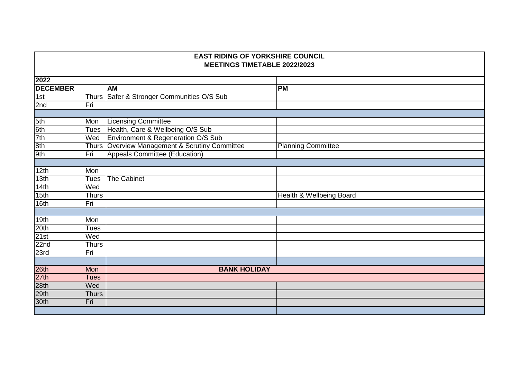| <b>EAST RIDING OF YORKSHIRE COUNCIL</b><br><b>MEETINGS TIMETABLE 2022/2023</b> |              |                                                |                           |  |
|--------------------------------------------------------------------------------|--------------|------------------------------------------------|---------------------------|--|
| 2022                                                                           |              |                                                |                           |  |
| <b>DECEMBER</b>                                                                |              | <b>AM</b>                                      | <b>PM</b>                 |  |
| 1st                                                                            |              | Thurs Safer & Stronger Communities O/S Sub     |                           |  |
| 2nd                                                                            | Fri          |                                                |                           |  |
|                                                                                |              |                                                |                           |  |
| 5th                                                                            | Mon          | <b>Licensing Committee</b>                     |                           |  |
| 6th                                                                            | Tues         | Health, Care & Wellbeing O/S Sub               |                           |  |
| 7th                                                                            | Wed          | Environment & Regeneration O/S Sub             |                           |  |
| 8th                                                                            |              | Thurs Overview Management & Scrutiny Committee | <b>Planning Committee</b> |  |
| 9th                                                                            | Fri          | Appeals Committee (Education)                  |                           |  |
|                                                                                |              |                                                |                           |  |
| 12th                                                                           | Mon          |                                                |                           |  |
| 13th                                                                           | <b>Tues</b>  | <b>The Cabinet</b>                             |                           |  |
| 14th                                                                           | Wed          |                                                |                           |  |
| 15th                                                                           | <b>Thurs</b> |                                                | Health & Wellbeing Board  |  |
| 16th                                                                           | Fri          |                                                |                           |  |
|                                                                                |              |                                                |                           |  |
| 19th                                                                           | Mon          |                                                |                           |  |
| 20th                                                                           | Tues         |                                                |                           |  |
| 21st                                                                           | Wed          |                                                |                           |  |
| 22 <sub>nd</sub>                                                               | <b>Thurs</b> |                                                |                           |  |
| 23rd                                                                           | Fri          |                                                |                           |  |
|                                                                                |              |                                                |                           |  |
| 26th                                                                           | Mon          | <b>BANK HOLIDAY</b>                            |                           |  |
| 27th                                                                           | <b>Tues</b>  |                                                |                           |  |
| 28th                                                                           | Wed          |                                                |                           |  |
| 29th                                                                           | <b>Thurs</b> |                                                |                           |  |
| 30th                                                                           | Fri          |                                                |                           |  |
|                                                                                |              |                                                |                           |  |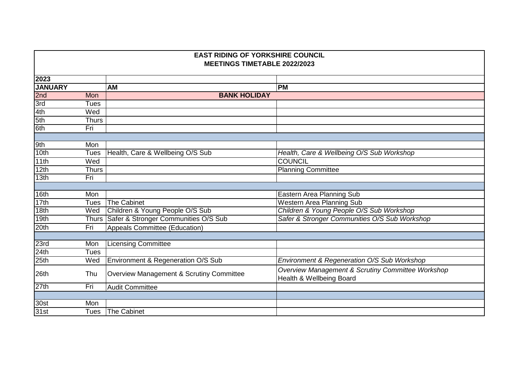|                | <b>EAST RIDING OF YORKSHIRE COUNCIL</b><br><b>MEETINGS TIMETABLE 2022/2023</b> |                                            |                                                                               |  |  |
|----------------|--------------------------------------------------------------------------------|--------------------------------------------|-------------------------------------------------------------------------------|--|--|
| 2023           |                                                                                |                                            |                                                                               |  |  |
| <b>JANUARY</b> |                                                                                | <b>AM</b>                                  | PM                                                                            |  |  |
| 2nd            | Mon                                                                            | <b>BANK HOLIDAY</b>                        |                                                                               |  |  |
| 3rd            | <b>Tues</b>                                                                    |                                            |                                                                               |  |  |
| 4th            | Wed                                                                            |                                            |                                                                               |  |  |
| 5th            | <b>Thurs</b>                                                                   |                                            |                                                                               |  |  |
| 6th            | Fri                                                                            |                                            |                                                                               |  |  |
|                |                                                                                |                                            |                                                                               |  |  |
| 9th            | Mon                                                                            |                                            |                                                                               |  |  |
| 10th           | Tues                                                                           | Health, Care & Wellbeing O/S Sub           | Health, Care & Wellbeing O/S Sub Workshop                                     |  |  |
| 11th           | Wed                                                                            |                                            | <b>COUNCIL</b>                                                                |  |  |
| 12th           | <b>Thurs</b>                                                                   |                                            | <b>Planning Committee</b>                                                     |  |  |
| 13th           | Fri                                                                            |                                            |                                                                               |  |  |
|                |                                                                                |                                            |                                                                               |  |  |
| 16th           | Mon                                                                            |                                            | Eastern Area Planning Sub                                                     |  |  |
| 17th           | <b>Tues</b>                                                                    | <b>The Cabinet</b>                         | <b>Western Area Planning Sub</b>                                              |  |  |
| 18th           | Wed                                                                            | Children & Young People O/S Sub            | Children & Young People O/S Sub Workshop                                      |  |  |
| 19th           |                                                                                | Thurs Safer & Stronger Communities O/S Sub | Safer & Stronger Communities O/S Sub Workshop                                 |  |  |
| 20th           | Fri                                                                            | Appeals Committee (Education)              |                                                                               |  |  |
|                |                                                                                |                                            |                                                                               |  |  |
| 23rd           | Mon                                                                            | <b>Licensing Committee</b>                 |                                                                               |  |  |
| 24th           | Tues                                                                           |                                            |                                                                               |  |  |
| 25th           | Wed                                                                            | Environment & Regeneration O/S Sub         | Environment & Regeneration O/S Sub Workshop                                   |  |  |
| 26th           | Thu                                                                            | Overview Management & Scrutiny Committee   | Overview Management & Scrutiny Committee Workshop<br>Health & Wellbeing Board |  |  |
| 27th           | Fri                                                                            | <b>Audit Committee</b>                     |                                                                               |  |  |
|                |                                                                                |                                            |                                                                               |  |  |
| 30st           | Mon                                                                            |                                            |                                                                               |  |  |
| 31st           | Tues                                                                           | The Cabinet                                |                                                                               |  |  |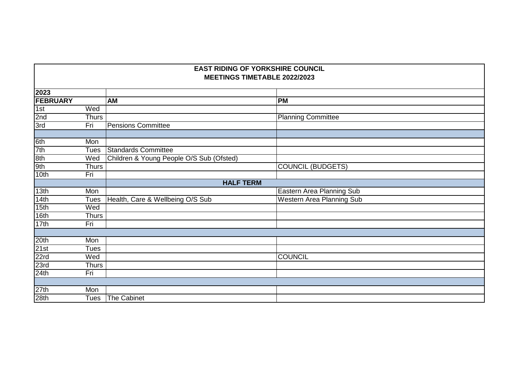| 2023                    |                                          |                                  |
|-------------------------|------------------------------------------|----------------------------------|
| <b>FEBRUARY</b>         | <b>AM</b>                                | <b>PM</b>                        |
| 1st<br>Wed              |                                          |                                  |
| 2nd<br><b>Thurs</b>     |                                          | <b>Planning Committee</b>        |
| 3rd<br>Fri              | <b>Pensions Committee</b>                |                                  |
|                         |                                          |                                  |
| 6th<br>Mon              |                                          |                                  |
| 7th<br><b>Tues</b>      | Standards Committee                      |                                  |
| 8th<br>Wed              | Children & Young People O/S Sub (Ofsted) |                                  |
| 9th<br><b>Thurs</b>     |                                          | <b>COUNCIL (BUDGETS)</b>         |
| 10th<br>Fri             |                                          |                                  |
|                         | <b>HALF TERM</b>                         |                                  |
| 13 <sub>th</sub><br>Mon |                                          | Eastern Area Planning Sub        |
| 14th<br><b>Tues</b>     | Health, Care & Wellbeing O/S Sub         | <b>Western Area Planning Sub</b> |
| 15th<br>Wed             |                                          |                                  |
| 16th<br><b>Thurs</b>    |                                          |                                  |
| 17th<br>Fri             |                                          |                                  |
|                         |                                          |                                  |
| 20th<br>Mon             |                                          |                                  |
| 21st<br>Tues            |                                          |                                  |
| 22rd<br>Wed             |                                          | <b>COUNCIL</b>                   |
| 23rd<br>Thurs           |                                          |                                  |
| 24th<br>Fri             |                                          |                                  |
|                         |                                          |                                  |
| 27th<br>Mon             |                                          |                                  |
| 28th                    | Tues The Cabinet                         |                                  |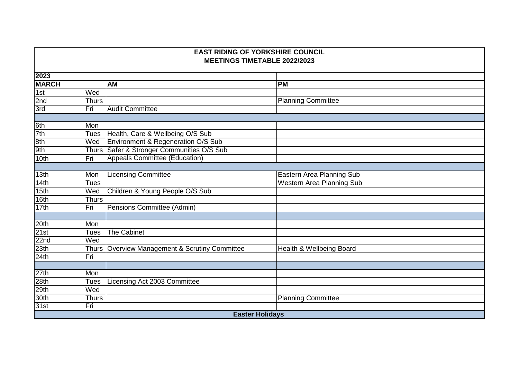| <b>EAST RIDING OF YORKSHIRE COUNCIL</b><br><b>MEETINGS TIMETABLE 2022/2023</b> |              |                                                |                                  |  |
|--------------------------------------------------------------------------------|--------------|------------------------------------------------|----------------------------------|--|
| 2023                                                                           |              |                                                |                                  |  |
| <b>MARCH</b>                                                                   |              | <b>AM</b>                                      | <b>PM</b>                        |  |
| 1st                                                                            | Wed          |                                                |                                  |  |
| 2nd                                                                            | <b>Thurs</b> |                                                | <b>Planning Committee</b>        |  |
| 3rd                                                                            | Fri          | <b>Audit Committee</b>                         |                                  |  |
|                                                                                |              |                                                |                                  |  |
| 6th                                                                            | Mon          |                                                |                                  |  |
| 7th                                                                            | <b>Tues</b>  | Health, Care & Wellbeing O/S Sub               |                                  |  |
| 8th                                                                            | Wed          | Environment & Regeneration O/S Sub             |                                  |  |
| 9th                                                                            |              | Thurs Safer & Stronger Communities O/S Sub     |                                  |  |
| 10th                                                                           | Fri          | <b>Appeals Committee (Education)</b>           |                                  |  |
|                                                                                |              |                                                |                                  |  |
| 13 <sub>th</sub>                                                               | Mon          | <b>Licensing Committee</b>                     | Eastern Area Planning Sub        |  |
| 14th                                                                           | <b>Tues</b>  |                                                | <b>Western Area Planning Sub</b> |  |
| 15th                                                                           | Wed          | Children & Young People O/S Sub                |                                  |  |
| 16th                                                                           | <b>Thurs</b> |                                                |                                  |  |
| 17th                                                                           | Fri          | Pensions Committee (Admin)                     |                                  |  |
|                                                                                |              |                                                |                                  |  |
| 20th                                                                           | Mon          |                                                |                                  |  |
| 21st                                                                           | <b>Tues</b>  | <b>The Cabinet</b>                             |                                  |  |
| 22nd                                                                           | Wed          |                                                |                                  |  |
| 23th                                                                           |              | Thurs Overview Management & Scrutiny Committee | Health & Wellbeing Board         |  |
| 24th                                                                           | Fri          |                                                |                                  |  |
|                                                                                |              |                                                |                                  |  |
| 27th                                                                           | Mon          |                                                |                                  |  |
| 28th                                                                           | <b>Tues</b>  | Licensing Act 2003 Committee                   |                                  |  |
| 29th                                                                           | Wed          |                                                |                                  |  |
| 30th                                                                           | <b>Thurs</b> |                                                | <b>Planning Committee</b>        |  |
| 31st                                                                           | Fri          |                                                |                                  |  |
| <b>Easter Holidays</b>                                                         |              |                                                |                                  |  |